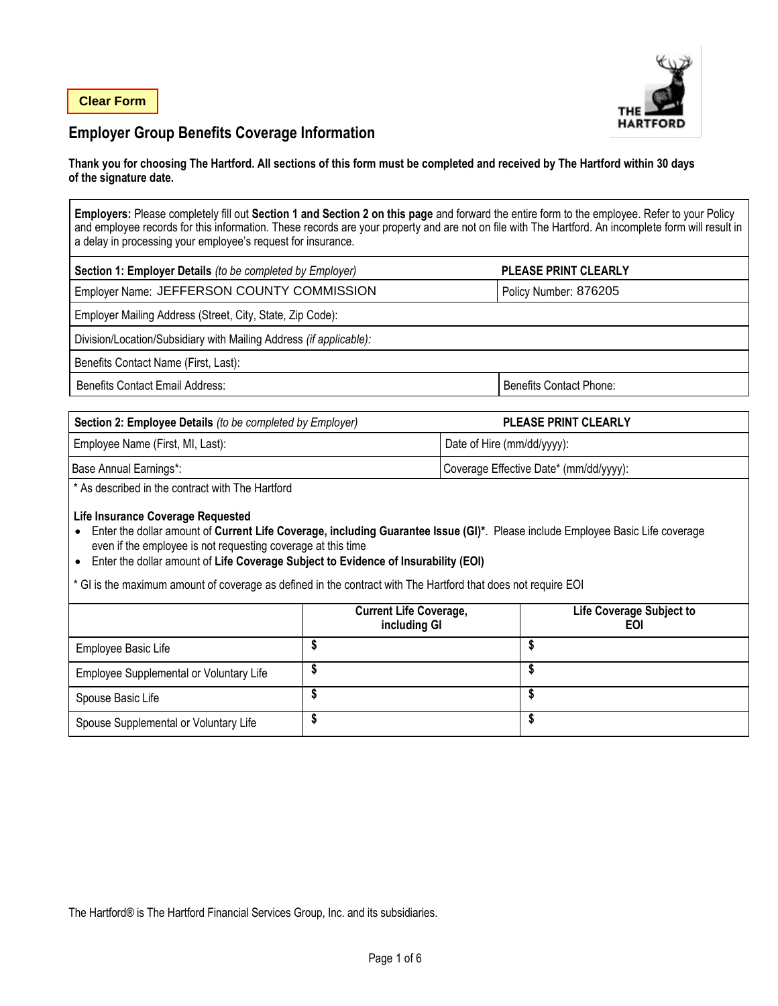

# **Employer Group Benefits Coverage Information**

#### **Thank you for choosing The Hartford. All sections of this form must be completed and received by The Hartford within 30 days of the signature date.**

**Employers:** Please completely fill out **Section 1 and Section 2 on this page** and forward the entire form to the employee. Refer to your Policy and employee records for this information. These records are your property and are not on file with The Hartford. An incomplete form will result in a delay in processing your employee's request for insurance.

| Section 1: Employer Details (to be completed by Employer)          | <b>PLEASE PRINT CLEARLY</b>    |  |  |  |
|--------------------------------------------------------------------|--------------------------------|--|--|--|
| Employer Name: JEFFERSON COUNTY COMMISSION                         | Policy Number: 876205          |  |  |  |
| Employer Mailing Address (Street, City, State, Zip Code):          |                                |  |  |  |
| Division/Location/Subsidiary with Mailing Address (if applicable): |                                |  |  |  |
| Benefits Contact Name (First, Last):                               |                                |  |  |  |
| Benefits Contact Email Address:                                    | <b>Benefits Contact Phone:</b> |  |  |  |

| <b>Section 2: Employee Details</b> (to be completed by Employer) | <b>PLEASE PRINT CLEARLY</b>            |
|------------------------------------------------------------------|----------------------------------------|
| Employee Name (First, MI, Last):                                 | Date of Hire (mm/dd/yyyy):             |
| Base Annual Earnings*:                                           | Coverage Effective Date* (mm/dd/yyyy): |

\* As described in the contract with The Hartford

#### **Life Insurance Coverage Requested**

- Enter the dollar amount of **Current Life Coverage, including Guarantee Issue (GI)\***. Please include Employee Basic Life coverage even if the employee is not requesting coverage at this time
- Enter the dollar amount of **Life Coverage Subject to Evidence of Insurability (EOI)**
- \* GI is the maximum amount of coverage as defined in the contract with The Hartford that does not require EOI

|                                         | <b>Current Life Coverage,</b><br>including GI | Life Coverage Subject to<br>EOI |
|-----------------------------------------|-----------------------------------------------|---------------------------------|
| Employee Basic Life                     |                                               |                                 |
| Employee Supplemental or Voluntary Life |                                               |                                 |
| Spouse Basic Life                       |                                               |                                 |
| Spouse Supplemental or Voluntary Life   |                                               |                                 |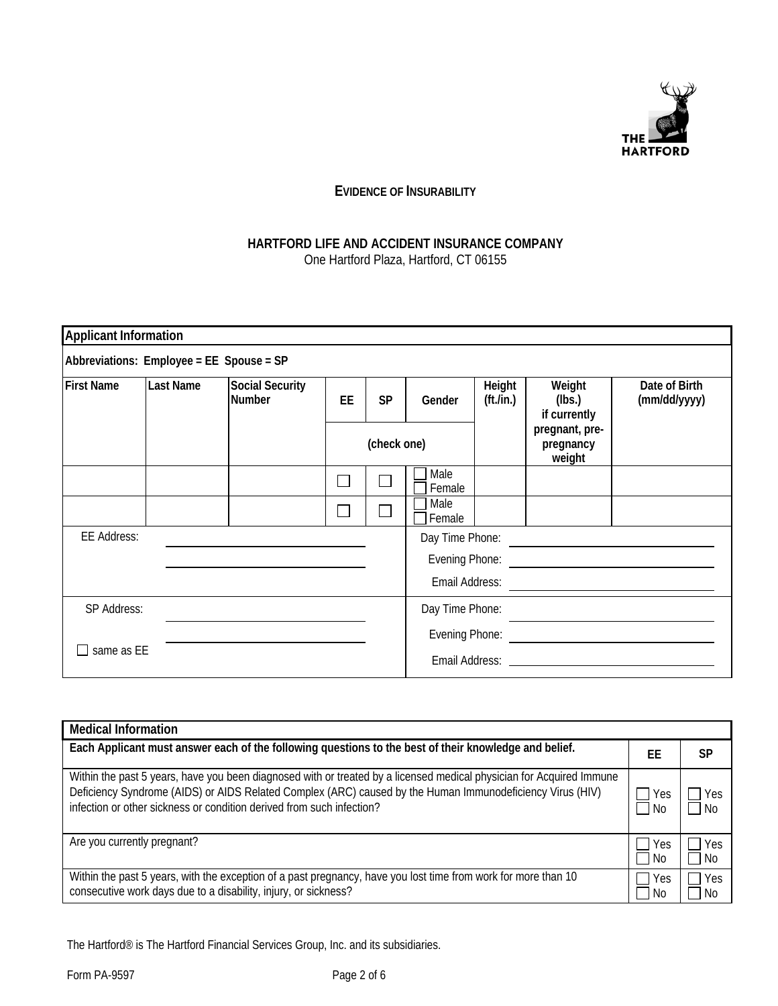

# **EVIDENCE OF INSURABILITY**

## **HARTFORD LIFE AND ACCIDENT INSURANCE COMPANY**  One Hartford Plaza, Hartford, CT 06155

| Applicant Information                    |                  |                                         |    |           |                 |                                   |                                       |                               |
|------------------------------------------|------------------|-----------------------------------------|----|-----------|-----------------|-----------------------------------|---------------------------------------|-------------------------------|
| Abbreviations: Employee = EE Spouse = SP |                  |                                         |    |           |                 |                                   |                                       |                               |
| <b>First Name</b>                        | <b>Last Name</b> | <b>Social Security</b><br><b>Number</b> | EE | <b>SP</b> | Gender          | Height<br>$({\rm ft.}/{\rm in.})$ | Weight<br>(lbs.)<br>if currently      | Date of Birth<br>(mm/dd/yyyy) |
|                                          |                  | (check one)                             |    |           |                 |                                   | pregnant, pre-<br>pregnancy<br>weight |                               |
|                                          |                  |                                         |    |           | Male<br>Female  |                                   |                                       |                               |
|                                          |                  |                                         |    |           | Male<br>Female  |                                   |                                       |                               |
| <b>EE Address:</b>                       |                  |                                         |    |           | Day Time Phone: |                                   |                                       |                               |
|                                          |                  |                                         |    |           | Evening Phone:  |                                   |                                       |                               |
|                                          |                  |                                         |    |           | Email Address:  |                                   |                                       |                               |
| SP Address:                              |                  |                                         |    |           | Day Time Phone: |                                   |                                       |                               |
|                                          |                  |                                         |    |           | Evening Phone:  |                                   |                                       |                               |
| same as EE                               |                  |                                         |    |           |                 |                                   | Email Address: Email Address:         |                               |

| <b>Medical Information</b>                                                                                                                                                                                                                                                                                 |            |            |
|------------------------------------------------------------------------------------------------------------------------------------------------------------------------------------------------------------------------------------------------------------------------------------------------------------|------------|------------|
| Each Applicant must answer each of the following questions to the best of their knowledge and belief.                                                                                                                                                                                                      | FF         | SP         |
| Within the past 5 years, have you been diagnosed with or treated by a licensed medical physician for Acquired Immune<br>Deficiency Syndrome (AIDS) or AIDS Related Complex (ARC) caused by the Human Immunodeficiency Virus (HIV)<br>infection or other sickness or condition derived from such infection? | Yes<br>No. | Yes<br>No. |
| Are you currently pregnant?                                                                                                                                                                                                                                                                                | Yes<br>No. | Yes<br>No. |
| Within the past 5 years, with the exception of a past pregnancy, have you lost time from work for more than 10<br>consecutive work days due to a disability, injury, or sickness?                                                                                                                          | Yes<br>No. | Yes<br>No. |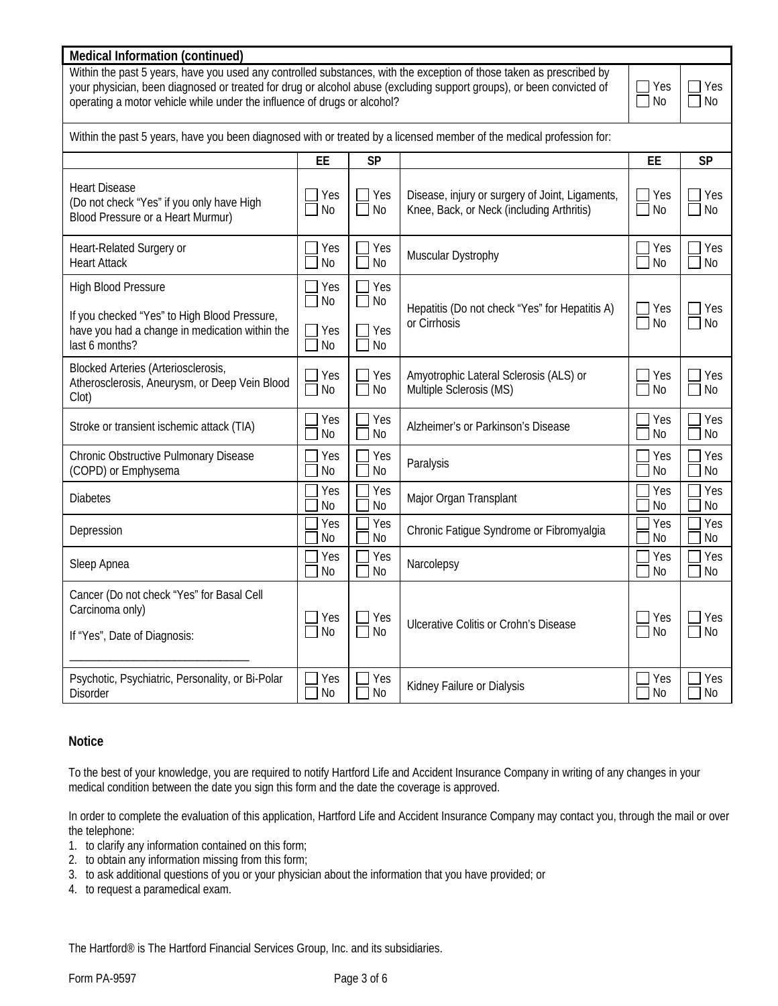## **Medical Information (continued)**

Within the past 5 years, have you used any controlled substances, with the exception of those taken as prescribed by your physician, been diagnosed or treated for drug or alcohol abuse (excluding support groups), or been convicted of operating a motor vehicle while under the influence of drugs or alcohol?

| /es | Yes. |
|-----|------|
| N٥  | Νo   |

| operating a motor vehicle while under the influence of drugs or alcohol?                                                                       |                                                |                                                 |                                                                                              |                       | No                    |  |  |
|------------------------------------------------------------------------------------------------------------------------------------------------|------------------------------------------------|-------------------------------------------------|----------------------------------------------------------------------------------------------|-----------------------|-----------------------|--|--|
| Within the past 5 years, have you been diagnosed with or treated by a licensed member of the medical profession for:                           |                                                |                                                 |                                                                                              |                       |                       |  |  |
|                                                                                                                                                | EE                                             | <b>SP</b>                                       |                                                                                              | EE                    | <b>SP</b>             |  |  |
| <b>Heart Disease</b><br>(Do not check "Yes" if you only have High<br>Blood Pressure or a Heart Murmur)                                         | Yes<br>N <sub>0</sub>                          | Yes<br>N <sub>0</sub>                           | Disease, injury or surgery of Joint, Ligaments,<br>Knee, Back, or Neck (including Arthritis) | Yes<br><b>No</b>      | Yes<br><b>No</b>      |  |  |
| Heart-Related Surgery or<br><b>Heart Attack</b>                                                                                                | Yes<br>No                                      | Yes<br><b>No</b><br>$\mathcal{L}_{\mathcal{A}}$ | Muscular Dystrophy                                                                           | Yes<br>No             | Yes<br>No             |  |  |
| <b>High Blood Pressure</b><br>If you checked "Yes" to High Blood Pressure,<br>have you had a change in medication within the<br>last 6 months? | Yes<br>N <sub>0</sub><br>Yes<br>N <sub>0</sub> | Yes<br>┓<br>No<br>Yes<br>┐<br><b>No</b>         | Hepatitis (Do not check "Yes" for Hepatitis A)<br>or Cirrhosis                               | Yes<br>$\Box$ No      | Yes<br><b>No</b>      |  |  |
| <b>Blocked Arteries (Arteriosclerosis,</b><br>Atherosclerosis, Aneurysm, or Deep Vein Blood<br>Clot)                                           | Yes<br>N <sub>0</sub>                          | Yes<br>$\Box$<br>No                             | Amyotrophic Lateral Sclerosis (ALS) or<br>Multiple Sclerosis (MS)                            | Yes<br><b>No</b>      | Yes<br>No             |  |  |
| Stroke or transient ischemic attack (TIA)                                                                                                      | Yes<br>N <sub>o</sub>                          | Yes<br><b>No</b>                                | Alzheimer's or Parkinson's Disease                                                           | Yes<br><b>No</b>      | Yes<br><b>No</b>      |  |  |
| Chronic Obstructive Pulmonary Disease<br>(COPD) or Emphysema                                                                                   | Yes<br>No                                      | Yes<br>No                                       | Paralysis                                                                                    | Yes<br>N <sub>0</sub> | Yes<br><b>No</b>      |  |  |
| <b>Diabetes</b>                                                                                                                                | Yes<br>No                                      | Yes<br>No                                       | Major Organ Transplant                                                                       | Yes<br>N <sub>0</sub> | Yes<br>N <sub>0</sub> |  |  |
| Depression                                                                                                                                     | Yes<br>No                                      | Yes<br>N <sub>0</sub>                           | Chronic Fatigue Syndrome or Fibromyalgia                                                     | Yes<br>No             | Yes<br>No             |  |  |
| Sleep Apnea                                                                                                                                    | Yes<br><b>No</b>                               | Yes<br><b>No</b>                                | Narcolepsy                                                                                   | Yes<br>N <sub>0</sub> | Yes<br><b>No</b>      |  |  |
| Cancer (Do not check "Yes" for Basal Cell<br>Carcinoma only)<br>If "Yes", Date of Diagnosis:                                                   | Yes<br><b>No</b>                               | Yes<br>$\sim$<br>$\Box$<br>No                   | Ulcerative Colitis or Crohn's Disease                                                        | Yes<br>No             | Yes<br>No             |  |  |
| Psychotic, Psychiatric, Personality, or Bi-Polar<br><b>Disorder</b>                                                                            | Yes<br><b>No</b>                               | Yes<br><b>No</b>                                | Kidney Failure or Dialysis                                                                   | Yes<br>No             | Yes<br><b>No</b>      |  |  |

## **Notice**

To the best of your knowledge, you are required to notify Hartford Life and Accident Insurance Company in writing of any changes in your medical condition between the date you sign this form and the date the coverage is approved.

In order to complete the evaluation of this application, Hartford Life and Accident Insurance Company may contact you, through the mail or over the telephone:

- 1. to clarify any information contained on this form;
- 2. to obtain any information missing from this form;
- 3. to ask additional questions of you or your physician about the information that you have provided; or
- 4. to request a paramedical exam.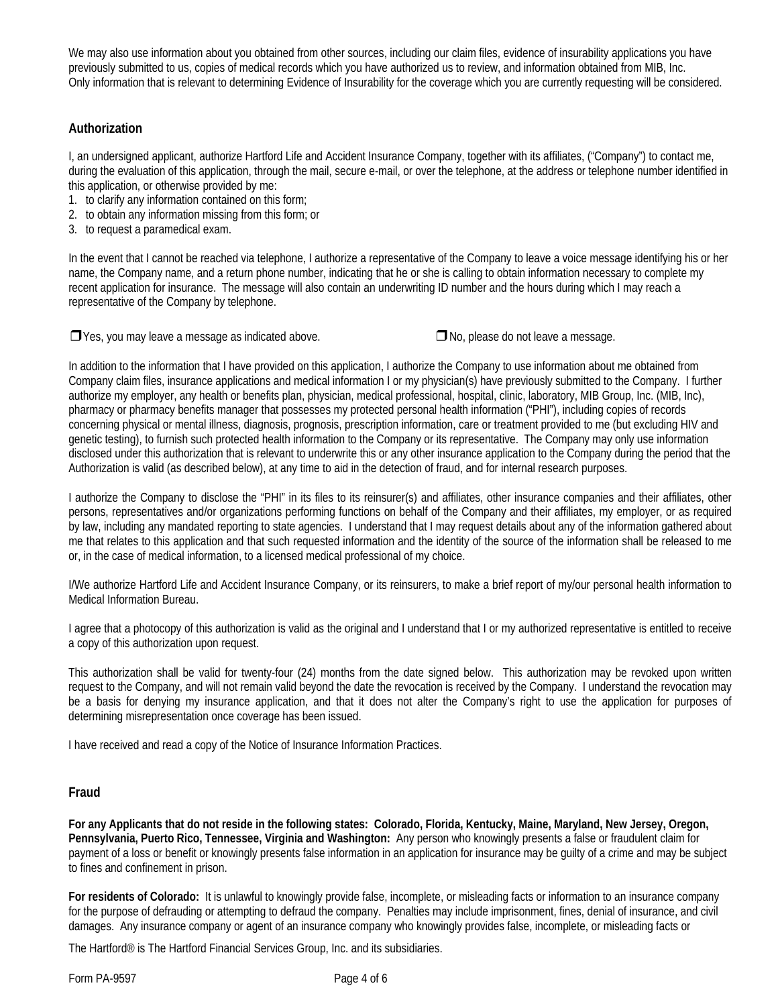We may also use information about you obtained from other sources, including our claim files, evidence of insurability applications you have previously submitted to us, copies of medical records which you have authorized us to review, and information obtained from MIB, Inc. Only information that is relevant to determining Evidence of Insurability for the coverage which you are currently requesting will be considered.

# **Authorization**

I, an undersigned applicant, authorize Hartford Life and Accident Insurance Company, together with its affiliates, ("Company") to contact me, during the evaluation of this application, through the mail, secure e-mail, or over the telephone, at the address or telephone number identified in this application, or otherwise provided by me:

- 1. to clarify any information contained on this form;
- 2. to obtain any information missing from this form; or
- 3. to request a paramedical exam.

In the event that I cannot be reached via telephone, I authorize a representative of the Company to leave a voice message identifying his or her name, the Company name, and a return phone number, indicating that he or she is calling to obtain information necessary to complete my recent application for insurance. The message will also contain an underwriting ID number and the hours during which I may reach a representative of the Company by telephone.

❒ Yes, you may leave a message as indicated above. ❒No, please do not leave a message.

In addition to the information that I have provided on this application, I authorize the Company to use information about me obtained from Company claim files, insurance applications and medical information I or my physician(s) have previously submitted to the Company. I further authorize my employer, any health or benefits plan, physician, medical professional, hospital, clinic, laboratory, MIB Group, Inc. (MIB, Inc), pharmacy or pharmacy benefits manager that possesses my protected personal health information ("PHI"), including copies of records concerning physical or mental illness, diagnosis, prognosis, prescription information, care or treatment provided to me (but excluding HIV and genetic testing), to furnish such protected health information to the Company or its representative. The Company may only use information disclosed under this authorization that is relevant to underwrite this or any other insurance application to the Company during the period that the Authorization is valid (as described below), at any time to aid in the detection of fraud, and for internal research purposes.

I authorize the Company to disclose the "PHI" in its files to its reinsurer(s) and affiliates, other insurance companies and their affiliates, other persons, representatives and/or organizations performing functions on behalf of the Company and their affiliates, my employer, or as required by law, including any mandated reporting to state agencies. I understand that I may request details about any of the information gathered about me that relates to this application and that such requested information and the identity of the source of the information shall be released to me or, in the case of medical information, to a licensed medical professional of my choice.

I/We authorize Hartford Life and Accident Insurance Company, or its reinsurers, to make a brief report of my/our personal health information to Medical Information Bureau.

I agree that a photocopy of this authorization is valid as the original and I understand that I or my authorized representative is entitled to receive a copy of this authorization upon request.

This authorization shall be valid for twenty-four (24) months from the date signed below. This authorization may be revoked upon written request to the Company, and will not remain valid beyond the date the revocation is received by the Company. I understand the revocation may be a basis for denying my insurance application, and that it does not alter the Company's right to use the application for purposes of determining misrepresentation once coverage has been issued.

I have received and read a copy of the Notice of Insurance Information Practices.

## **Fraud**

**For any Applicants that do not reside in the following states: Colorado, Florida, Kentucky, Maine, Maryland, New Jersey, Oregon, Pennsylvania, Puerto Rico, Tennessee, Virginia and Washington:** Any person who knowingly presents a false or fraudulent claim for payment of a loss or benefit or knowingly presents false information in an application for insurance may be guilty of a crime and may be subject to fines and confinement in prison.

**For residents of Colorado:** It is unlawful to knowingly provide false, incomplete, or misleading facts or information to an insurance company for the purpose of defrauding or attempting to defraud the company. Penalties may include imprisonment, fines, denial of insurance, and civil damages. Any insurance company or agent of an insurance company who knowingly provides false, incomplete, or misleading facts or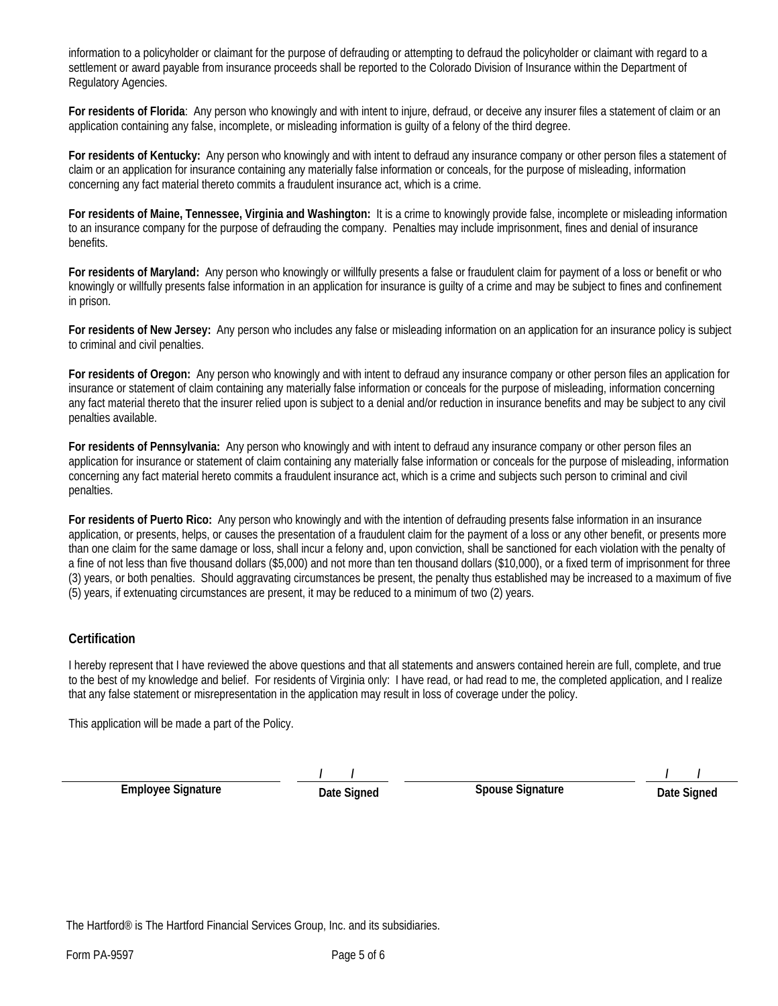information to a policyholder or claimant for the purpose of defrauding or attempting to defraud the policyholder or claimant with regard to a settlement or award payable from insurance proceeds shall be reported to the Colorado Division of Insurance within the Department of Regulatory Agencies.

**For residents of Florida**: Any person who knowingly and with intent to injure, defraud, or deceive any insurer files a statement of claim or an application containing any false, incomplete, or misleading information is guilty of a felony of the third degree.

**For residents of Kentucky:** Any person who knowingly and with intent to defraud any insurance company or other person files a statement of claim or an application for insurance containing any materially false information or conceals, for the purpose of misleading, information concerning any fact material thereto commits a fraudulent insurance act, which is a crime.

**For residents of Maine, Tennessee, Virginia and Washington:** It is a crime to knowingly provide false, incomplete or misleading information to an insurance company for the purpose of defrauding the company. Penalties may include imprisonment, fines and denial of insurance benefits.

**For residents of Maryland:** Any person who knowingly or willfully presents a false or fraudulent claim for payment of a loss or benefit or who knowingly or willfully presents false information in an application for insurance is guilty of a crime and may be subject to fines and confinement in prison.

**For residents of New Jersey:** Any person who includes any false or misleading information on an application for an insurance policy is subject to criminal and civil penalties.

**For residents of Oregon:** Any person who knowingly and with intent to defraud any insurance company or other person files an application for insurance or statement of claim containing any materially false information or conceals for the purpose of misleading, information concerning any fact material thereto that the insurer relied upon is subject to a denial and/or reduction in insurance benefits and may be subject to any civil penalties available.

**For residents of Pennsylvania:** Any person who knowingly and with intent to defraud any insurance company or other person files an application for insurance or statement of claim containing any materially false information or conceals for the purpose of misleading, information concerning any fact material hereto commits a fraudulent insurance act, which is a crime and subjects such person to criminal and civil penalties.

**For residents of Puerto Rico:** Any person who knowingly and with the intention of defrauding presents false information in an insurance application, or presents, helps, or causes the presentation of a fraudulent claim for the payment of a loss or any other benefit, or presents more than one claim for the same damage or loss, shall incur a felony and, upon conviction, shall be sanctioned for each violation with the penalty of a fine of not less than five thousand dollars (\$5,000) and not more than ten thousand dollars (\$10,000), or a fixed term of imprisonment for three (3) years, or both penalties. Should aggravating circumstances be present, the penalty thus established may be increased to a maximum of five (5) years, if extenuating circumstances are present, it may be reduced to a minimum of two (2) years.

## **Certification**

I hereby represent that I have reviewed the above questions and that all statements and answers contained herein are full, complete, and true to the best of my knowledge and belief. For residents of Virginia only: I have read, or had read to me, the completed application, and I realize that any false statement or misrepresentation in the application may result in loss of coverage under the policy.

This application will be made a part of the Policy.

**Employee Signature** 

**/ /** 

**Spouse Signature** 

**/ /** 

**Date Signed**